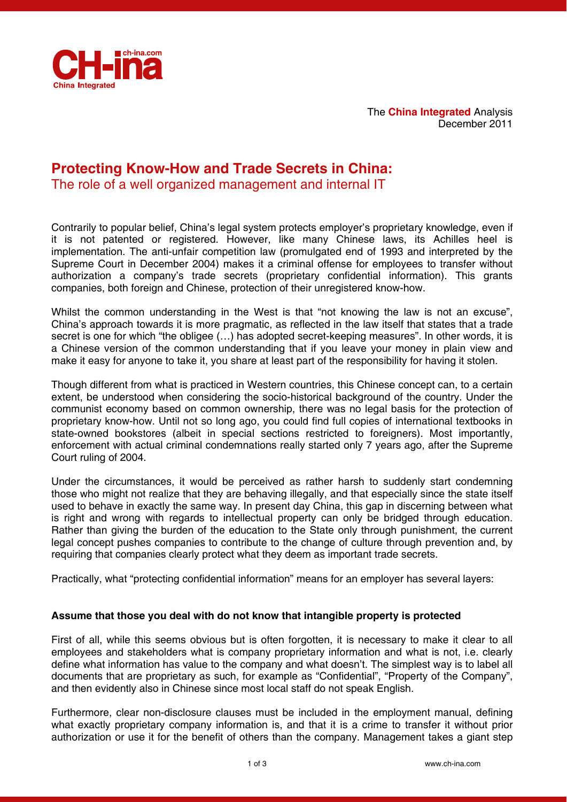

The **China Integrated** Analysis December 2011

# **Protecting Know-How and Trade Secrets in China:**

The role of a well organized management and internal IT

Contrarily to popular belief, China's legal system protects employer's proprietary knowledge, even if it is not patented or registered. However, like many Chinese laws, its Achilles heel is implementation. The anti-unfair competition law (promulgated end of 1993 and interpreted by the Supreme Court in December 2004) makes it a criminal offense for employees to transfer without authorization a company's trade secrets (proprietary confidential information). This grants companies, both foreign and Chinese, protection of their unregistered know-how.

Whilst the common understanding in the West is that "not knowing the law is not an excuse", China's approach towards it is more pragmatic, as reflected in the law itself that states that a trade secret is one for which "the obligee (…) has adopted secret-keeping measures". In other words, it is a Chinese version of the common understanding that if you leave your money in plain view and make it easy for anyone to take it, you share at least part of the responsibility for having it stolen.

Though different from what is practiced in Western countries, this Chinese concept can, to a certain extent, be understood when considering the socio-historical background of the country. Under the communist economy based on common ownership, there was no legal basis for the protection of proprietary know-how. Until not so long ago, you could find full copies of international textbooks in state-owned bookstores (albeit in special sections restricted to foreigners). Most importantly, enforcement with actual criminal condemnations really started only 7 years ago, after the Supreme Court ruling of 2004.

Under the circumstances, it would be perceived as rather harsh to suddenly start condemning those who might not realize that they are behaving illegally, and that especially since the state itself used to behave in exactly the same way. In present day China, this gap in discerning between what is right and wrong with regards to intellectual property can only be bridged through education. Rather than giving the burden of the education to the State only through punishment, the current legal concept pushes companies to contribute to the change of culture through prevention and, by requiring that companies clearly protect what they deem as important trade secrets.

Practically, what "protecting confidential information" means for an employer has several layers:

# **Assume that those you deal with do not know that intangible property is protected**

First of all, while this seems obvious but is often forgotten, it is necessary to make it clear to all employees and stakeholders what is company proprietary information and what is not, i.e. clearly define what information has value to the company and what doesn't. The simplest way is to label all documents that are proprietary as such, for example as "Confidential", "Property of the Company", and then evidently also in Chinese since most local staff do not speak English.

Furthermore, clear non-disclosure clauses must be included in the employment manual, defining what exactly proprietary company information is, and that it is a crime to transfer it without prior authorization or use it for the benefit of others than the company. Management takes a giant step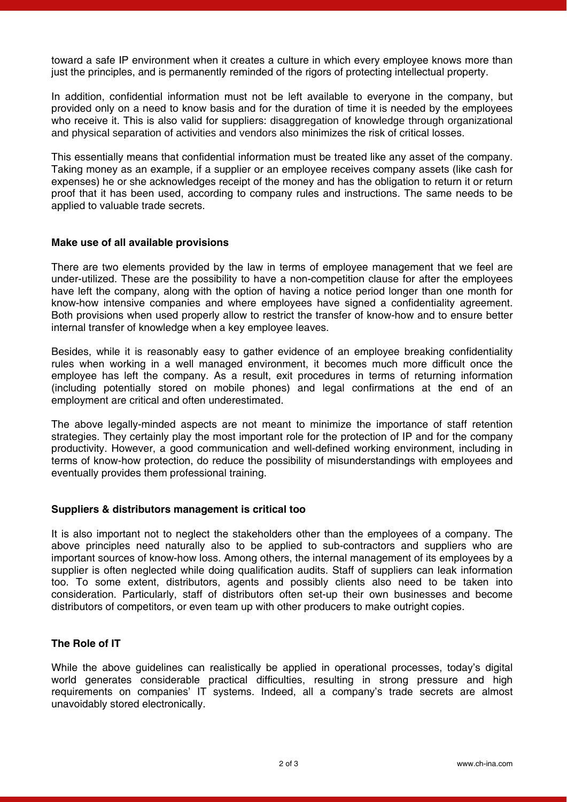toward a safe IP environment when it creates a culture in which every employee knows more than just the principles, and is permanently reminded of the rigors of protecting intellectual property.

In addition, confidential information must not be left available to everyone in the company, but provided only on a need to know basis and for the duration of time it is needed by the employees who receive it. This is also valid for suppliers: disaggregation of knowledge through organizational and physical separation of activities and vendors also minimizes the risk of critical losses.

This essentially means that confidential information must be treated like any asset of the company. Taking money as an example, if a supplier or an employee receives company assets (like cash for expenses) he or she acknowledges receipt of the money and has the obligation to return it or return proof that it has been used, according to company rules and instructions. The same needs to be applied to valuable trade secrets.

#### **Make use of all available provisions**

There are two elements provided by the law in terms of employee management that we feel are under-utilized. These are the possibility to have a non-competition clause for after the employees have left the company, along with the option of having a notice period longer than one month for know-how intensive companies and where employees have signed a confidentiality agreement. Both provisions when used properly allow to restrict the transfer of know-how and to ensure better internal transfer of knowledge when a key employee leaves.

Besides, while it is reasonably easy to gather evidence of an employee breaking confidentiality rules when working in a well managed environment, it becomes much more difficult once the employee has left the company. As a result, exit procedures in terms of returning information (including potentially stored on mobile phones) and legal confirmations at the end of an employment are critical and often underestimated.

The above legally-minded aspects are not meant to minimize the importance of staff retention strategies. They certainly play the most important role for the protection of IP and for the company productivity. However, a good communication and well-defined working environment, including in terms of know-how protection, do reduce the possibility of misunderstandings with employees and eventually provides them professional training.

#### **Suppliers & distributors management is critical too**

It is also important not to neglect the stakeholders other than the employees of a company. The above principles need naturally also to be applied to sub-contractors and suppliers who are important sources of know-how loss. Among others, the internal management of its employees by a supplier is often neglected while doing qualification audits. Staff of suppliers can leak information too. To some extent, distributors, agents and possibly clients also need to be taken into consideration. Particularly, staff of distributors often set-up their own businesses and become distributors of competitors, or even team up with other producers to make outright copies.

## **The Role of IT**

While the above guidelines can realistically be applied in operational processes, today's digital world generates considerable practical difficulties, resulting in strong pressure and high requirements on companies' IT systems. Indeed, all a company's trade secrets are almost unavoidably stored electronically.